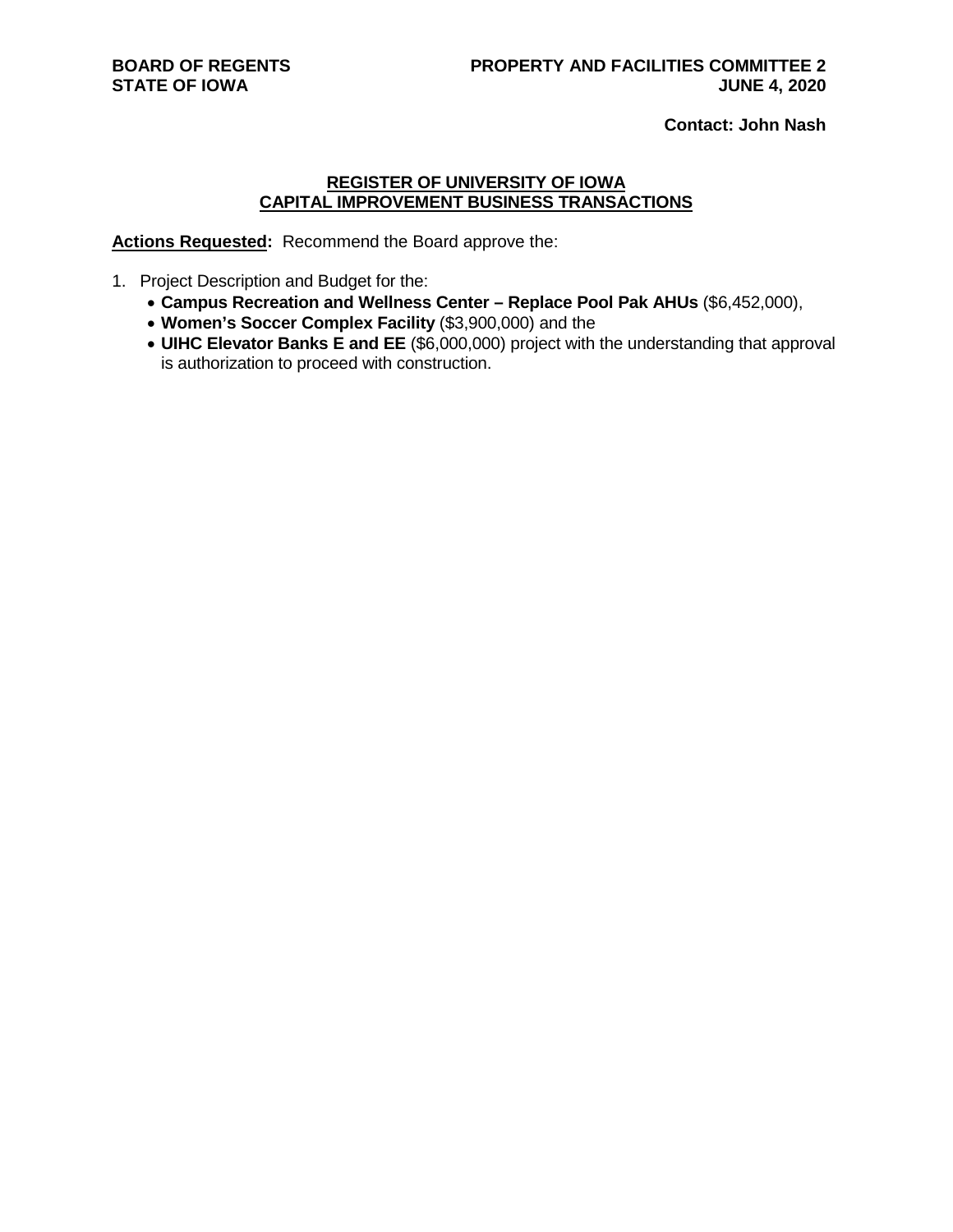**Contact: John Nash**

#### **REGISTER OF UNIVERSITY OF IOWA CAPITAL IMPROVEMENT BUSINESS TRANSACTIONS**

**Actions Requested:** Recommend the Board approve the:

- 1. Project Description and Budget for the:
	- **Campus Recreation and Wellness Center – Replace Pool Pak AHUs** (\$6,452,000),
	- **Women's Soccer Complex Facility** (\$3,900,000) and the
	- **UIHC Elevator Banks E and EE** (\$6,000,000) project with the understanding that approval is authorization to proceed with construction.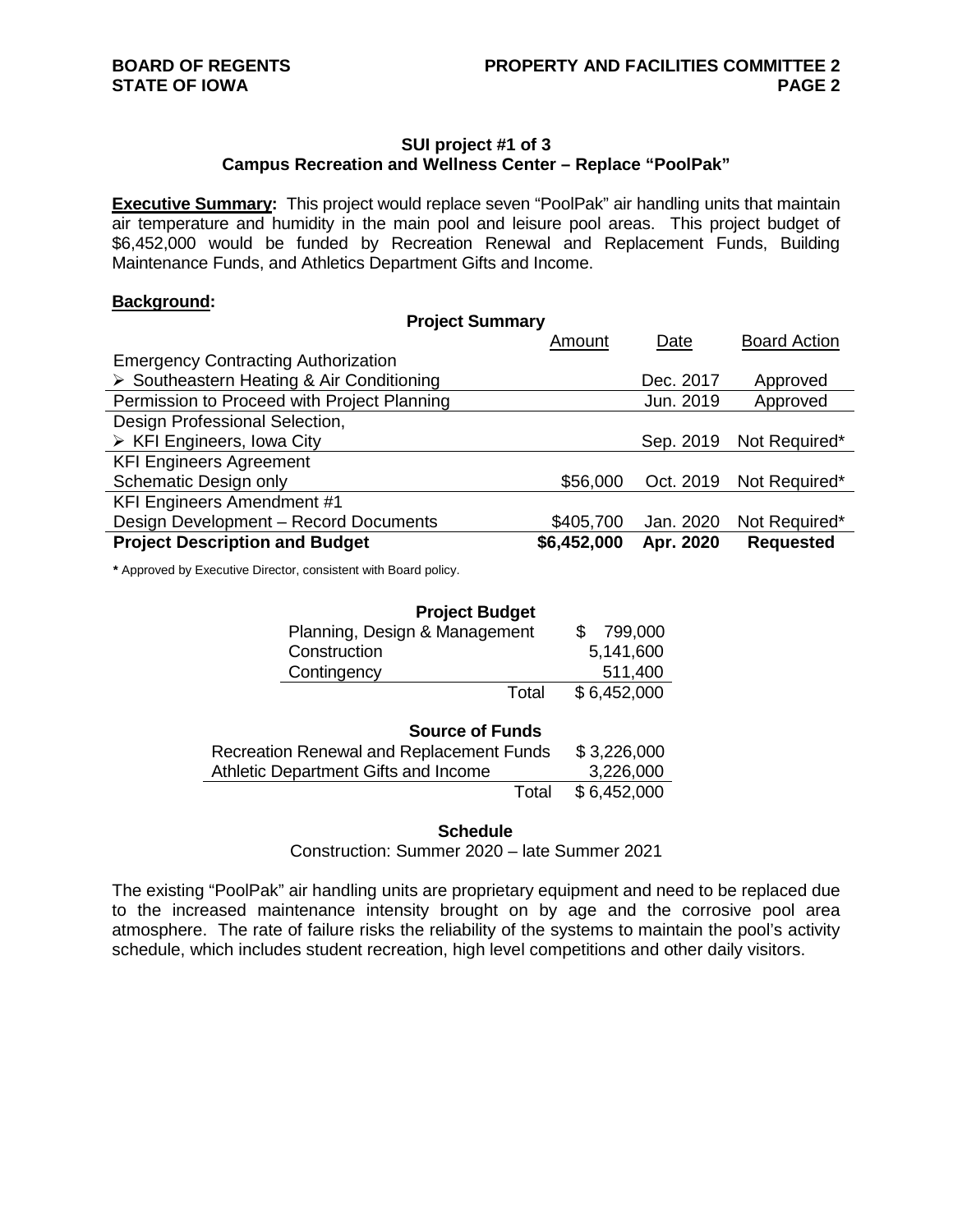## **SUI project #1 of 3 Campus Recreation and Wellness Center – Replace "PoolPak"**

**Executive Summary:** This project would replace seven "PoolPak" air handling units that maintain air temperature and humidity in the main pool and leisure pool areas. This project budget of \$6,452,000 would be funded by Recreation Renewal and Replacement Funds, Building Maintenance Funds, and Athletics Department Gifts and Income.

#### **Background:**

| <b>Project Summary</b>                      |             |           |                         |
|---------------------------------------------|-------------|-----------|-------------------------|
|                                             | Amount      | Date      | <b>Board Action</b>     |
| <b>Emergency Contracting Authorization</b>  |             |           |                         |
| Southeastern Heating & Air Conditioning     |             | Dec. 2017 | Approved                |
| Permission to Proceed with Project Planning |             | Jun. 2019 | Approved                |
| Design Professional Selection,              |             |           |                         |
| $\triangleright$ KFI Engineers, Iowa City   |             | Sep. 2019 | Not Required*           |
| <b>KFI Engineers Agreement</b>              |             |           |                         |
| Schematic Design only                       | \$56,000    |           | Oct. 2019 Not Required* |
| <b>KFI Engineers Amendment #1</b>           |             |           |                         |
| Design Development - Record Documents       | \$405,700   | Jan. 2020 | Not Required*           |
| <b>Project Description and Budget</b>       | \$6,452,000 | Apr. 2020 | <b>Requested</b>        |

**\*** Approved by Executive Director, consistent with Board policy.

| <b>Project Budget</b>         |             |  |
|-------------------------------|-------------|--|
| Planning, Design & Management | 799,000     |  |
| Construction                  | 5,141,600   |  |
| Contingency                   | 511,400     |  |
| Total                         | \$6,452,000 |  |
|                               |             |  |

| <b>Source of Funds</b>                   |             |
|------------------------------------------|-------------|
| Recreation Renewal and Replacement Funds | \$3,226,000 |
| Athletic Department Gifts and Income     | 3,226,000   |
| Total                                    | \$6.452,000 |

#### **Schedule**

Construction: Summer 2020 – late Summer 2021

The existing "PoolPak" air handling units are proprietary equipment and need to be replaced due to the increased maintenance intensity brought on by age and the corrosive pool area atmosphere. The rate of failure risks the reliability of the systems to maintain the pool's activity schedule, which includes student recreation, high level competitions and other daily visitors.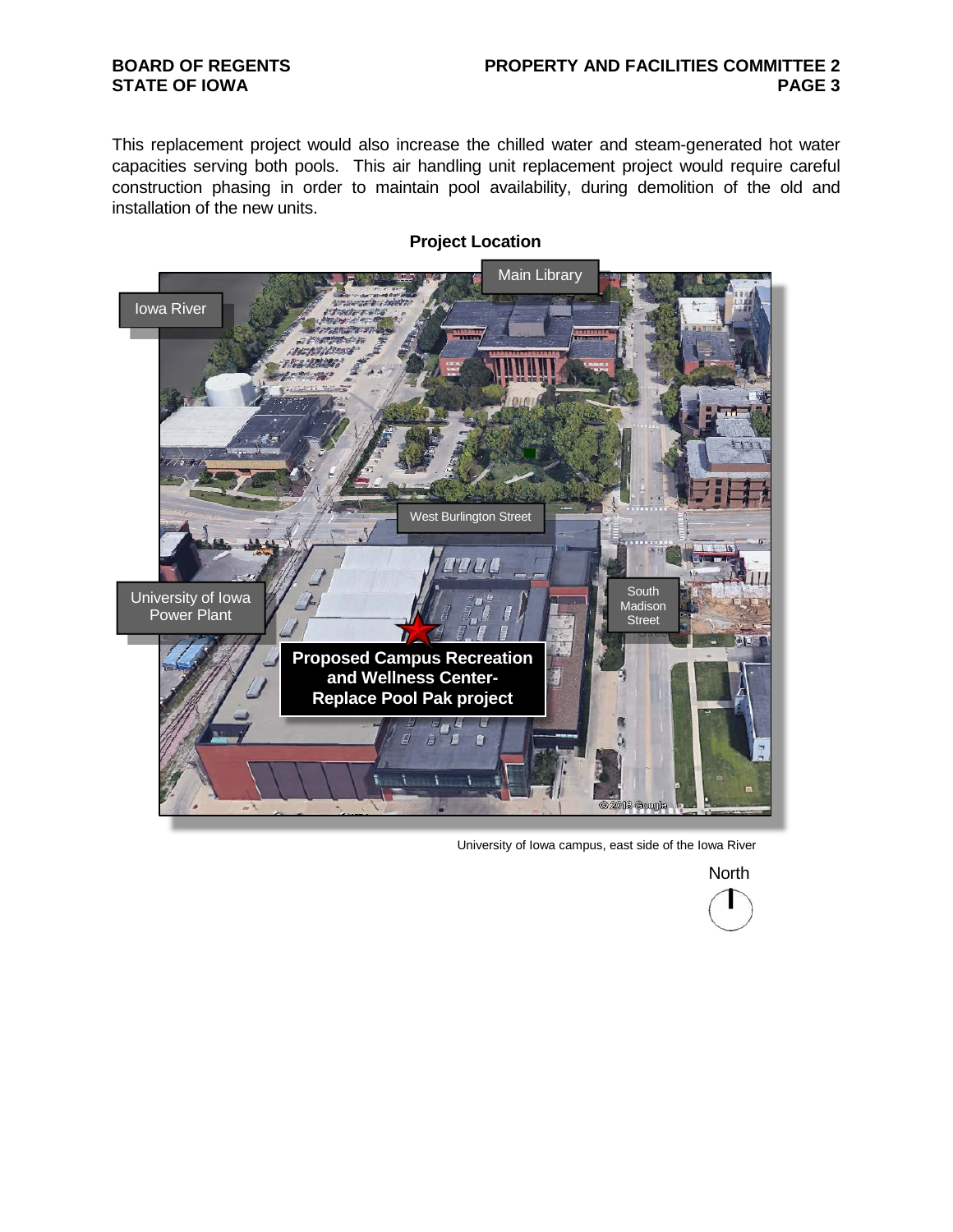## **BOARD OF REGENTS STATE OF IOWA**

## **PROPERTY AND FACILITIES COMMITTEE 2 PAGE 3**

This replacement project would also increase the chilled water and steam-generated hot water capacities serving both pools. This air handling unit replacement project would require careful construction phasing in order to maintain pool availability, during demolition of the old and installation of the new units.



# **Project Location**

University of Iowa campus, east side of the Iowa River

**North**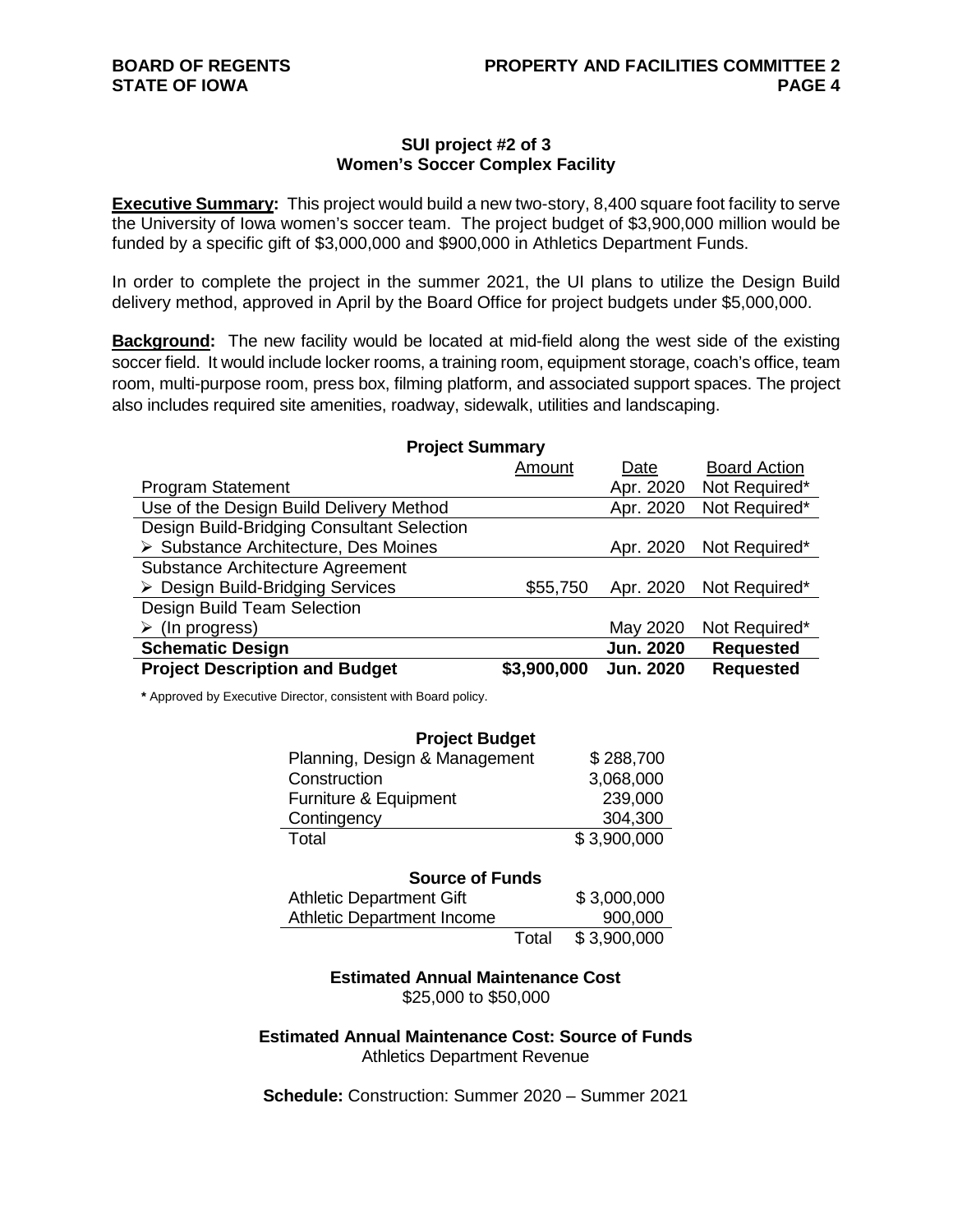#### **SUI project #2 of 3 Women's Soccer Complex Facility**

**Executive Summary:** This project would build a new two-story, 8,400 square foot facility to serve the University of Iowa women's soccer team. The project budget of \$3,900,000 million would be funded by a specific gift of \$3,000,000 and \$900,000 in Athletics Department Funds.

In order to complete the project in the summer 2021, the UI plans to utilize the Design Build delivery method, approved in April by the Board Office for project budgets under \$5,000,000.

**Background:** The new facility would be located at mid-field along the west side of the existing soccer field. It would include locker rooms, a training room, equipment storage, coach's office, team room, multi-purpose room, press box, filming platform, and associated support spaces. The project also includes required site amenities, roadway, sidewalk, utilities and landscaping.

**Project Summary** 

|                                            | Amount      | Date             | <b>Board Action</b> |
|--------------------------------------------|-------------|------------------|---------------------|
| <b>Program Statement</b>                   |             | Apr. 2020        | Not Required*       |
| Use of the Design Build Delivery Method    |             | Apr. 2020        | Not Required*       |
| Design Build-Bridging Consultant Selection |             |                  |                     |
| ▶ Substance Architecture, Des Moines       |             | Apr. 2020        | Not Required*       |
| Substance Architecture Agreement           |             |                  |                     |
| > Design Build-Bridging Services           | \$55,750    | Apr. 2020        | Not Required*       |
| Design Build Team Selection                |             |                  |                     |
| $\triangleright$ (In progress)             |             | May 2020         | Not Required*       |
| <b>Schematic Design</b>                    |             | <b>Jun. 2020</b> | <b>Requested</b>    |
| <b>Project Description and Budget</b>      | \$3,900,000 | <b>Jun. 2020</b> | <b>Requested</b>    |

**\*** Approved by Executive Director, consistent with Board policy.

| <b>Project Budget</b>         |             |  |
|-------------------------------|-------------|--|
| Planning, Design & Management | \$288,700   |  |
| Construction                  | 3,068,000   |  |
| Furniture & Equipment         | 239,000     |  |
| Contingency                   | 304,300     |  |
| Total                         | \$3,900,000 |  |

| <b>Source of Funds</b>            |       |             |  |
|-----------------------------------|-------|-------------|--|
| <b>Athletic Department Gift</b>   |       | \$3,000,000 |  |
| <b>Athletic Department Income</b> |       | 900,000     |  |
|                                   | Total | \$3,900,000 |  |

**Estimated Annual Maintenance Cost** \$25,000 to \$50,000

**Estimated Annual Maintenance Cost: Source of Funds** Athletics Department Revenue

**Schedule:** Construction: Summer 2020 – Summer 2021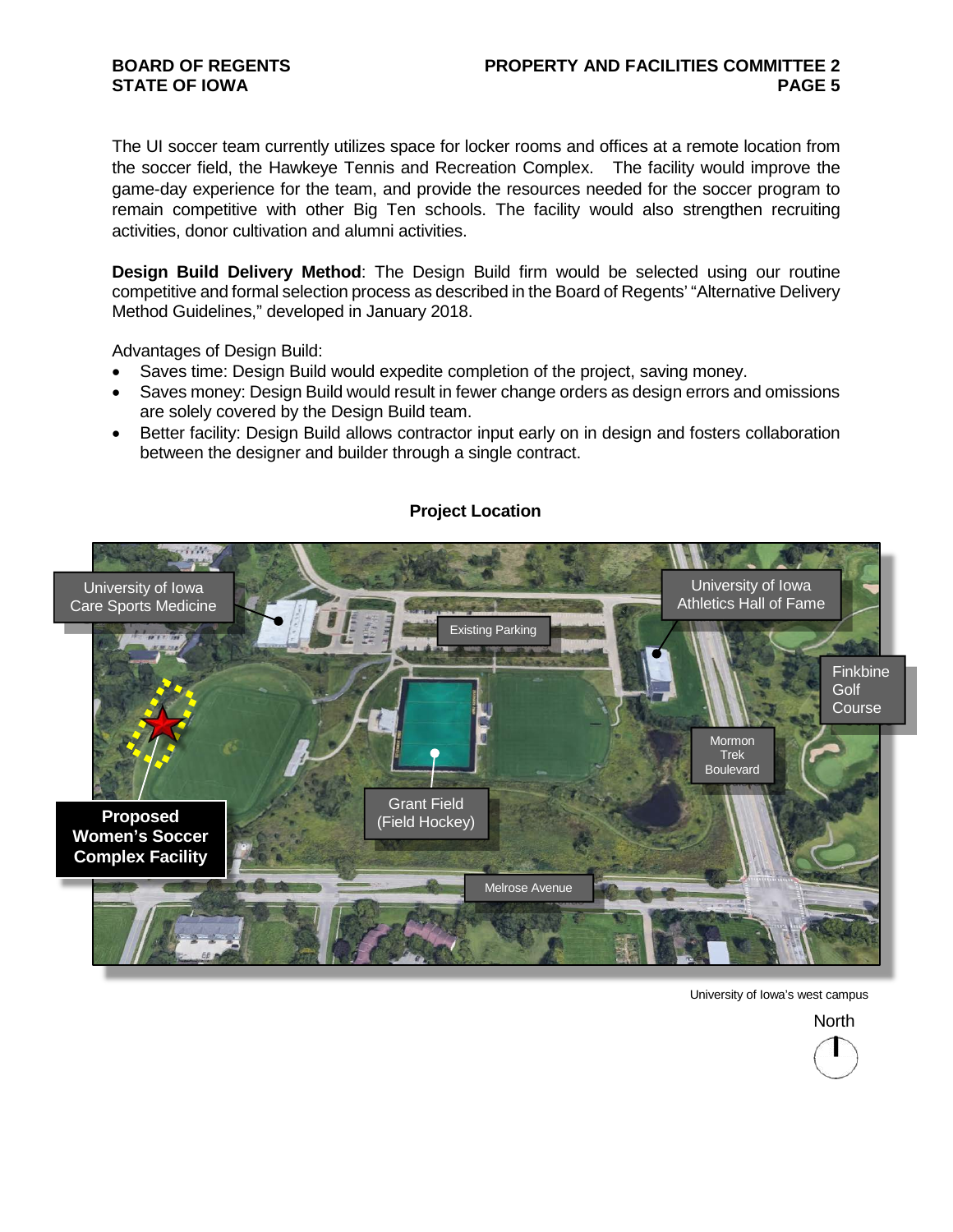## **BOARD OF REGENTS STATE OF IOWA**

## **PROPERTY AND FACILITIES COMMITTEE 2 PAGE 5**

The UI soccer team currently utilizes space for locker rooms and offices at a remote location from the soccer field, the Hawkeye Tennis and Recreation Complex. The facility would improve the game-day experience for the team, and provide the resources needed for the soccer program to remain competitive with other Big Ten schools. The facility would also strengthen recruiting activities, donor cultivation and alumni activities.

**Design Build Delivery Method**: The Design Build firm would be selected using our routine competitive and formal selection process as described in the Board of Regents' "Alternative Delivery Method Guidelines," developed in January 2018.

Advantages of Design Build:

- Saves time: Design Build would expedite completion of the project, saving money.
- Saves money: Design Build would result in fewer change orders as design errors and omissions are solely covered by the Design Build team.
- Better facility: Design Build allows contractor input early on in design and fosters collaboration between the designer and builder through a single contract.



# **Project Location**

University of Iowa's west campus

**North**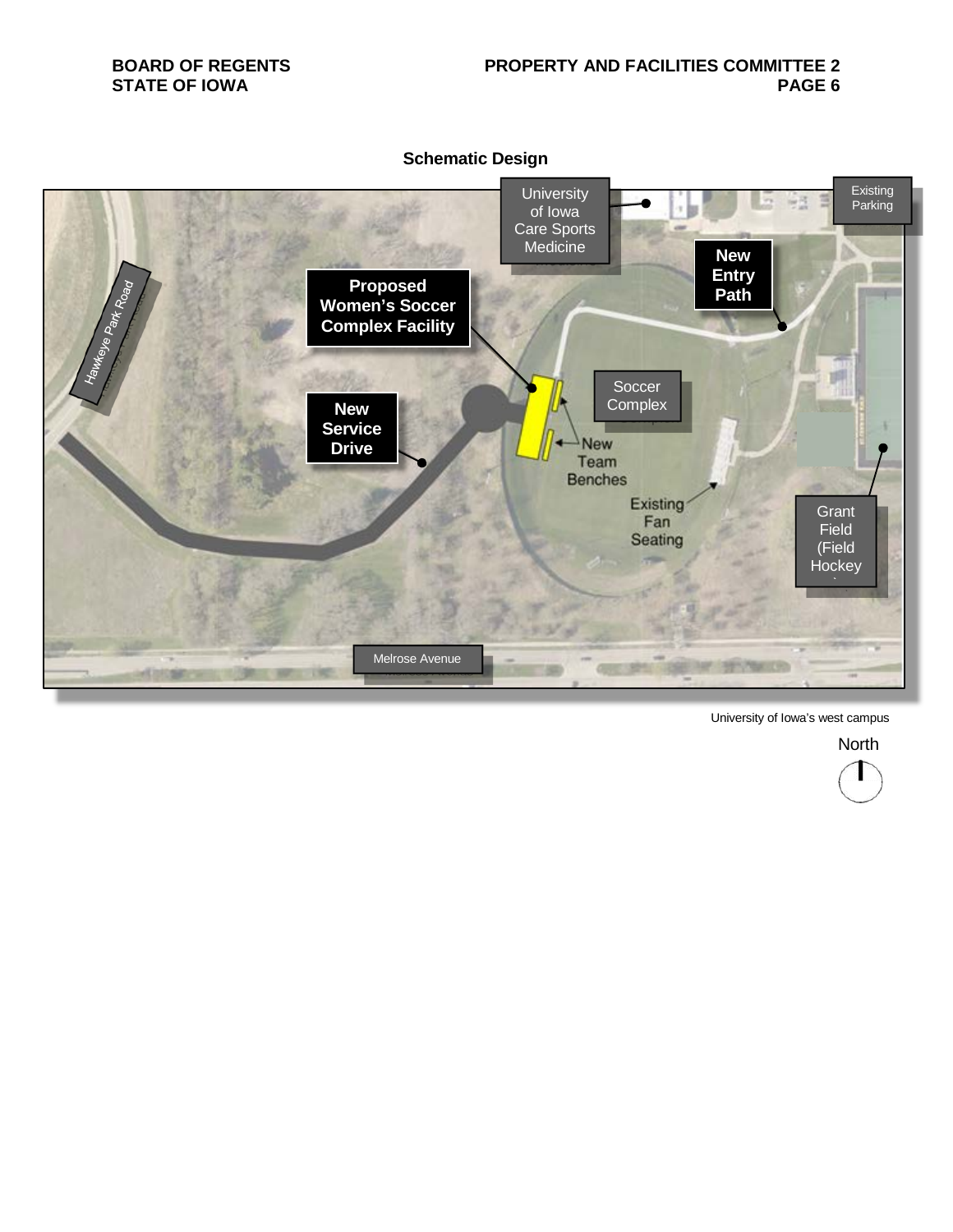

University of Iowa's west campus

**North** 

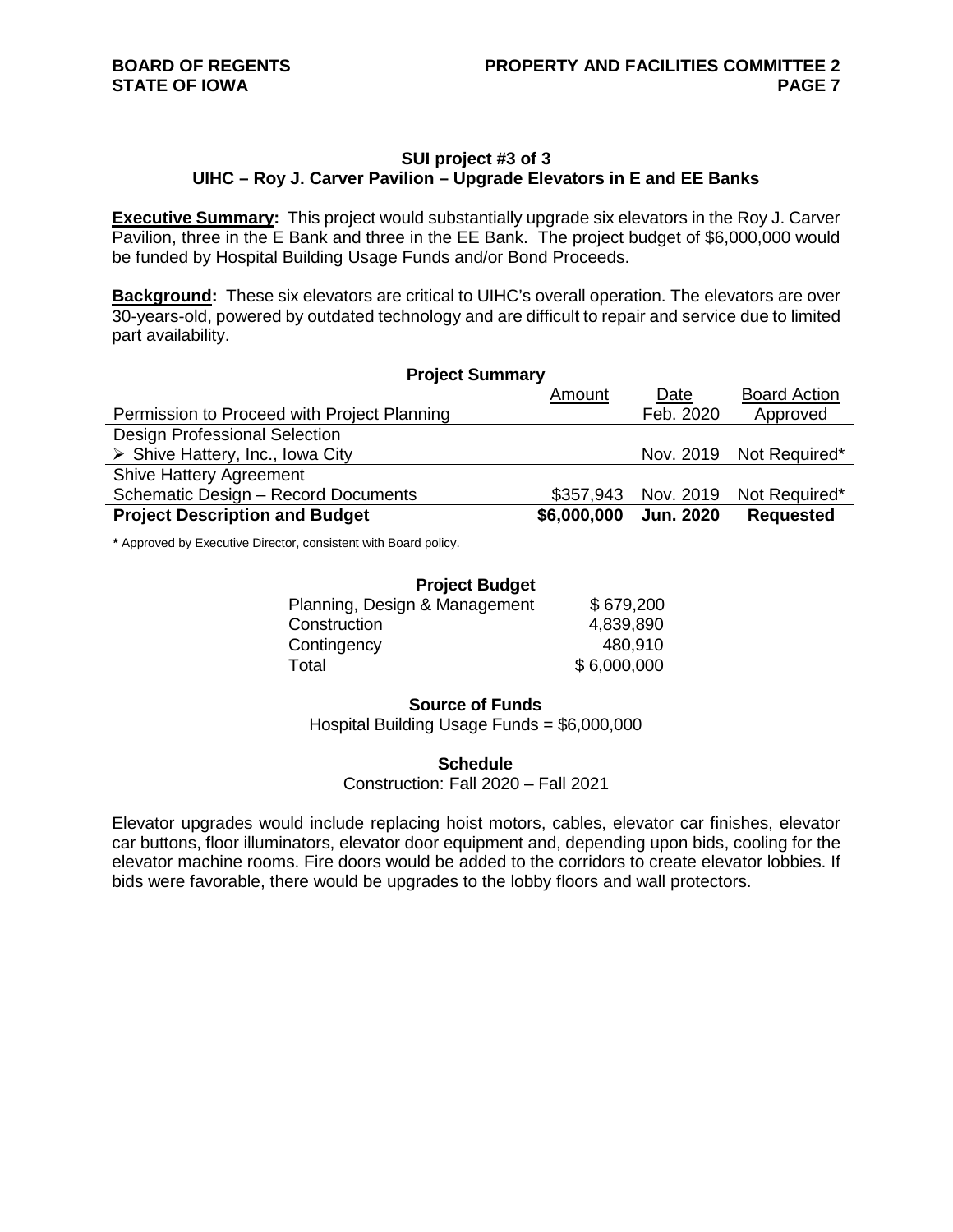## **SUI project #3 of 3 UIHC – Roy J. Carver Pavilion – Upgrade Elevators in E and EE Banks**

**Executive Summary:** This project would substantially upgrade six elevators in the Roy J. Carver Pavilion, three in the E Bank and three in the EE Bank. The project budget of \$6,000,000 would be funded by Hospital Building Usage Funds and/or Bond Proceeds.

**Background:** These six elevators are critical to UIHC's overall operation. The elevators are over 30-years-old, powered by outdated technology and are difficult to repair and service due to limited part availability.

| <b>Project Summary</b>                          |             |                  |                         |
|-------------------------------------------------|-------------|------------------|-------------------------|
|                                                 | Amount      | Date             | <b>Board Action</b>     |
| Permission to Proceed with Project Planning     |             | Feb. 2020        | Approved                |
| <b>Design Professional Selection</b>            |             |                  |                         |
| $\triangleright$ Shive Hattery, Inc., Iowa City |             |                  | Nov. 2019 Not Required* |
| <b>Shive Hattery Agreement</b>                  |             |                  |                         |
| Schematic Design - Record Documents             | \$357,943   |                  | Nov. 2019 Not Required* |
| <b>Project Description and Budget</b>           | \$6,000,000 | <b>Jun. 2020</b> | <b>Requested</b>        |

**\*** Approved by Executive Director, consistent with Board policy.

| <b>Project Budget</b>         |             |  |
|-------------------------------|-------------|--|
| Planning, Design & Management | \$679,200   |  |
| Construction                  | 4,839,890   |  |
| Contingency                   | 480,910     |  |
| Total                         | \$6,000,000 |  |

#### **Source of Funds**

Hospital Building Usage Funds = \$6,000,000

#### **Schedule**

Construction: Fall 2020 – Fall 2021

Elevator upgrades would include replacing hoist motors, cables, elevator car finishes, elevator car buttons, floor illuminators, elevator door equipment and, depending upon bids, cooling for the elevator machine rooms. Fire doors would be added to the corridors to create elevator lobbies. If bids were favorable, there would be upgrades to the lobby floors and wall protectors.